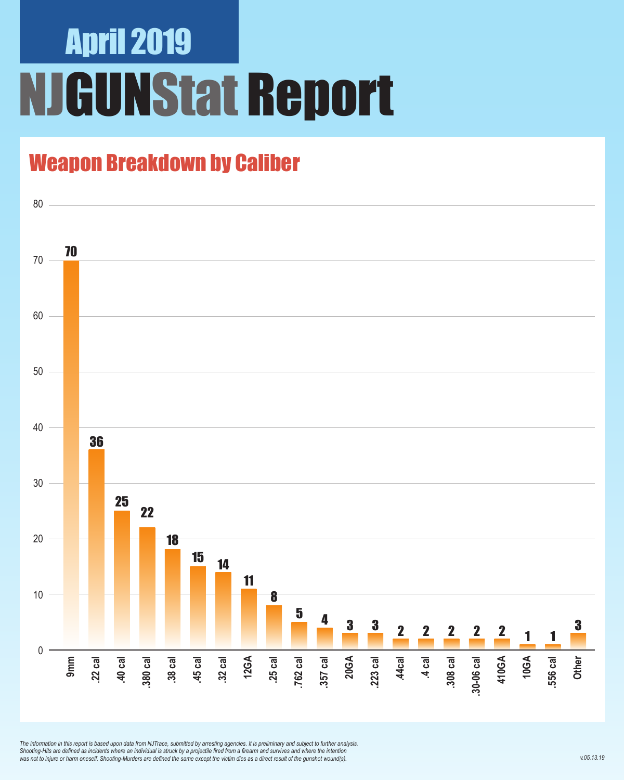## April 2019 NJGUNStat Report

### Weapon Breakdown by Caliber



*The information in this report is based upon data from NJTrace, submitted by arresting agencies. It is preliminary and subject to further analysis. Shooting-Hits are defined as incidents where an individual is struck by a projectile fired from a firearm and survives and where the intention was not to injure or harm oneself. Shooting-Murders are defined the same except the victim dies as a direct result of the gunshot wound(s).*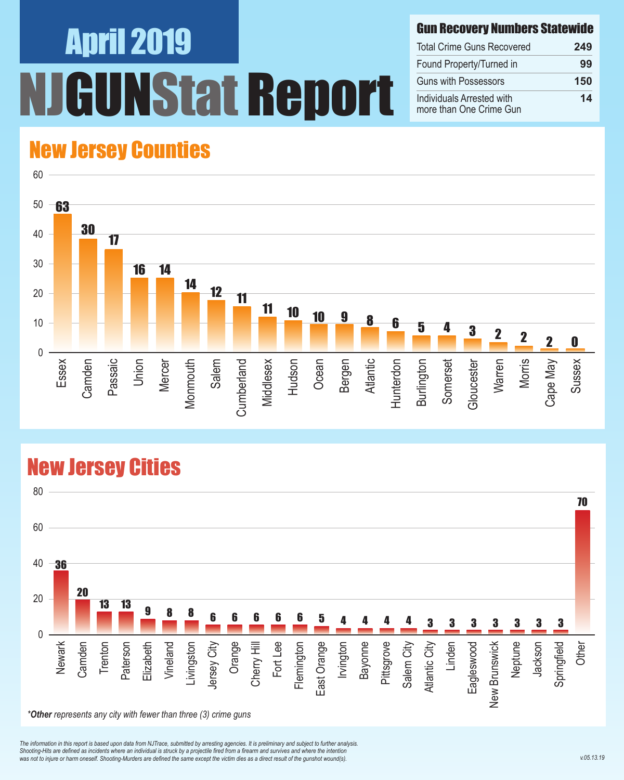# April 2019 NStat Report

#### Gun Recovery Numbers Statewide

| <b>Total Crime Guns Recovered</b>                    | 249 |
|------------------------------------------------------|-----|
| Found Property/Turned in                             | 99  |
| <b>Guns with Possessors</b>                          | 150 |
| Individuals Arrested with<br>more than One Crime Gun | 14  |

#### New Jersey Counties



#### New Jersey Cities



*The information in this report is based upon data from NJTrace, submitted by arresting agencies. It is preliminary and subject to further analysis. Shooting-Hits are defined as incidents where an individual is struck by a projectile fired from a firearm and survives and where the intention*  was not to injure or harm oneself. Shooting-Murders are defined the same except the victim dies as a direct result of the gunshot wound(s).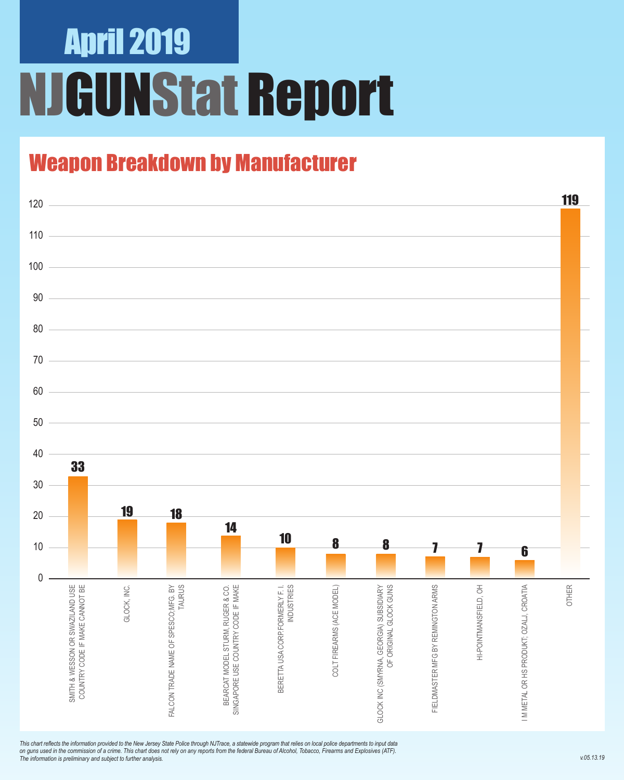# April 2019 NJGUNStat Report

### Weapon Breakdown by Manufacturer



*This chart reflects the information provided to the New Jersey State Police through NJTrace, a statewide program that relies on local police departments to input data on guns used in the commission of a crime. This chart does not rely on any reports from the federal Bureau of Alcohol, Tobacco, Firearms and Explosives (ATF). The information is preliminary and subject to further analysis.*